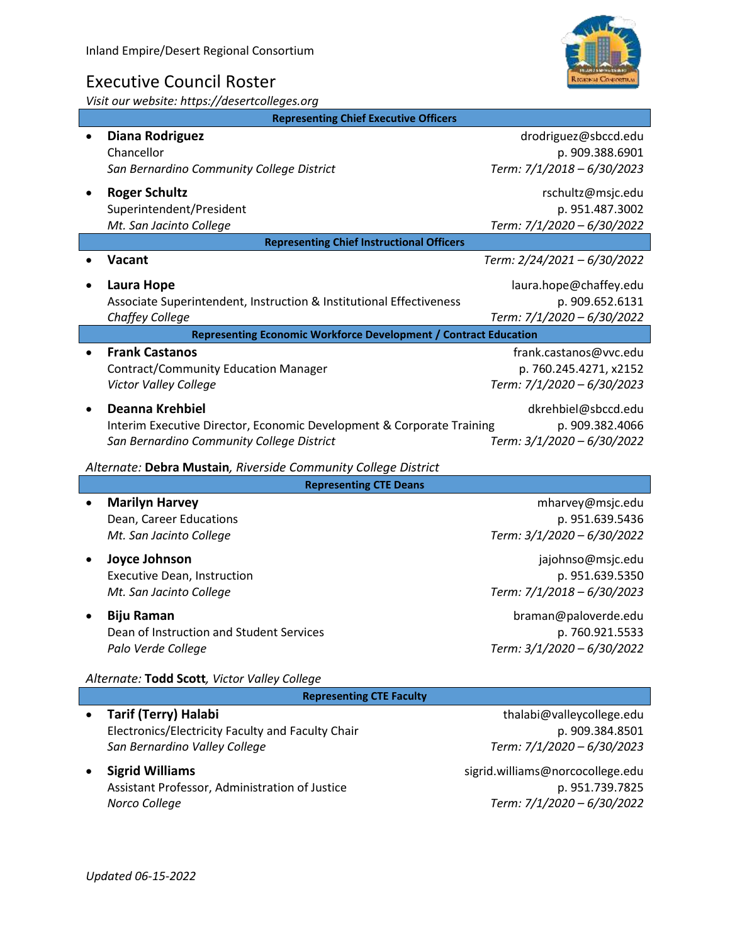## Executive Council Roster

*Visit our website: https://desertcolleges.org*

| <b>Representing Chief Executive Officers</b>                     |                                                                                                                                              |                                                                                |
|------------------------------------------------------------------|----------------------------------------------------------------------------------------------------------------------------------------------|--------------------------------------------------------------------------------|
|                                                                  | <b>Diana Rodriguez</b><br>Chancellor<br>San Bernardino Community College District                                                            | drodriguez@sbccd.edu<br>p. 909.388.6901<br>Term: 7/1/2018 - 6/30/2023          |
|                                                                  | <b>Roger Schultz</b><br>Superintendent/President<br>Mt. San Jacinto College                                                                  | rschultz@msjc.edu<br>p. 951.487.3002<br>Term: 7/1/2020 - 6/30/2022             |
| <b>Representing Chief Instructional Officers</b>                 |                                                                                                                                              |                                                                                |
|                                                                  | Vacant                                                                                                                                       | Term: 2/24/2021 - 6/30/2022                                                    |
|                                                                  | Laura Hope<br>Associate Superintendent, Instruction & Institutional Effectiveness<br>Chaffey College                                         | laura.hope@chaffey.edu<br>p. 909.652.6131<br>Term: 7/1/2020 - 6/30/2022        |
| Representing Economic Workforce Development / Contract Education |                                                                                                                                              |                                                                                |
|                                                                  | <b>Frank Castanos</b><br><b>Contract/Community Education Manager</b><br>Victor Valley College                                                | frank.castanos@vvc.edu<br>p. 760.245.4271, x2152<br>Term: 7/1/2020 - 6/30/2023 |
|                                                                  | <b>Deanna Krehbiel</b><br>Interim Executive Director, Economic Development & Corporate Training<br>San Bernardino Community College District | dkrehbiel@sbccd.edu<br>p. 909.382.4066<br>Term: 3/1/2020 - 6/30/2022           |
| Alternate: Debra Mustain, Riverside Community College District   |                                                                                                                                              |                                                                                |
| <b>Representing CTE Deans</b>                                    |                                                                                                                                              |                                                                                |
|                                                                  | <b>Marilyn Harvey</b><br>Dean, Career Educations<br>Mt. San Jacinto College                                                                  | mharvey@msjc.edu<br>p. 951.639.5436<br>Term: 3/1/2020 - 6/30/2022              |
|                                                                  | Joyce Johnson<br><b>Executive Dean, Instruction</b><br>Mt. San Jacinto College                                                               | jajohnso@msjc.edu<br>p. 951.639.5350<br>Term: 7/1/2018 - 6/30/2023             |
|                                                                  | <b>Biju Raman</b><br>Dean of Instruction and Student Services<br>Palo Verde College                                                          | braman@paloverde.edu<br>p. 760.921.5533<br>Term: 3/1/2020 - 6/30/2022          |
| Alternate: Todd Scott, Victor Valley College                     |                                                                                                                                              |                                                                                |
| <b>Representing CTE Faculty</b>                                  |                                                                                                                                              |                                                                                |
|                                                                  | <b>Tarif (Terry) Halabi</b><br>Electronics/Electricity Faculty and Faculty Chair                                                             | thalabi@valleycollege.edu<br>p. 909.384.8501                                   |

• **Sigrid Williams** sigrid.williams@norcocollege.edu Assistant Professor, Administration of Justice p. 951.739.7825 *Norco College Term: 7/1/2020 – 6/30/2022*

*San Bernardino Valley College Term: 7/1/2020 – 6/30/2023*